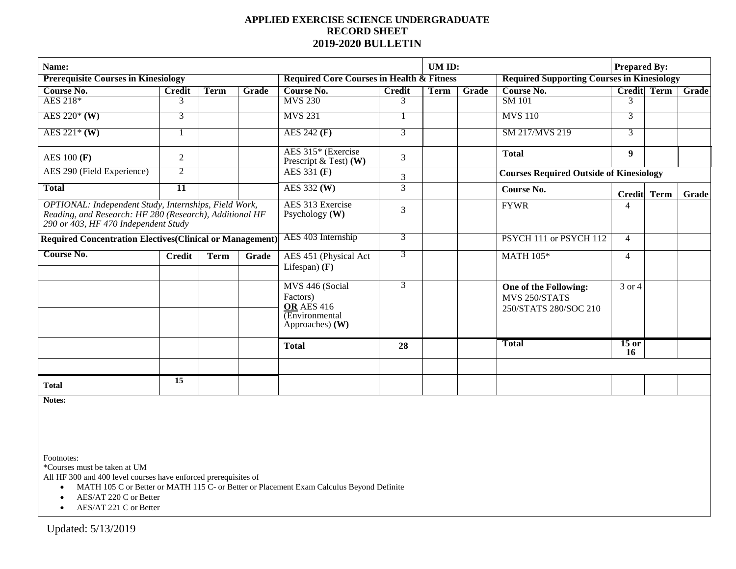## **APPLIED EXERCISE SCIENCE UNDERGRADUATE RECORD SHEET 2019-2020 BULLETIN**

| Name:                                                                                                                                                    |                 |             |                                      |                                                                                         |                | UM ID: |             |                                                                 | <b>Prepared By:</b> |                    |       |
|----------------------------------------------------------------------------------------------------------------------------------------------------------|-----------------|-------------|--------------------------------------|-----------------------------------------------------------------------------------------|----------------|--------|-------------|-----------------------------------------------------------------|---------------------|--------------------|-------|
| <b>Prerequisite Courses in Kinesiology</b>                                                                                                               |                 |             |                                      | <b>Required Core Courses in Health &amp; Fitness</b>                                    |                |        |             | <b>Required Supporting Courses in Kinesiology</b>               |                     |                    |       |
| Course No.                                                                                                                                               | <b>Credit</b>   | <b>Term</b> | Grade                                | Course No.                                                                              | <b>Credit</b>  | Term   | Grade       | Course No.                                                      |                     | <b>Credit Term</b> | Grade |
| AES 218*                                                                                                                                                 | 3               |             |                                      | <b>MVS 230</b>                                                                          | 3              |        |             | <b>SM</b> 101                                                   | 3                   |                    |       |
| AES $220*(W)$                                                                                                                                            | 3               |             |                                      | <b>MVS 231</b>                                                                          |                |        |             | <b>MVS</b> 110                                                  | 3                   |                    |       |
| AES $221*(W)$                                                                                                                                            |                 |             |                                      | AES 242 (F)                                                                             | $\overline{3}$ |        |             | SM 217/MVS 219                                                  | 3                   |                    |       |
| <b>AES 100 (F)</b>                                                                                                                                       | $\overline{2}$  |             |                                      | AES 315* (Exercise<br>Prescript $\&$ Test) (W)                                          | $\mathfrak{Z}$ |        |             | <b>Total</b>                                                    | $\boldsymbol{9}$    |                    |       |
| AES 290 (Field Experience)                                                                                                                               | $\overline{2}$  |             |                                      | AES 331 (F)                                                                             | 3              |        |             | <b>Courses Required Outside of Kinesiology</b>                  |                     |                    |       |
| <b>Total</b>                                                                                                                                             | $\overline{11}$ |             |                                      | AES 332 (W)                                                                             | 3              |        |             | Course No.                                                      | Credit Term         |                    | Grade |
| OPTIONAL: Independent Study, Internships, Field Work,<br>Reading, and Research: HF 280 (Research), Additional HF<br>290 or 403, HF 470 Independent Study |                 |             | AES 313 Exercise<br>Psychology $(W)$ | 3                                                                                       |                |        | <b>FYWR</b> | 4                                                               |                     |                    |       |
| <b>Required Concentration Electives (Clinical or Management)</b>                                                                                         |                 |             |                                      | AES 403 Internship                                                                      | 3              |        |             | PSYCH 111 or PSYCH 112                                          | $\overline{4}$      |                    |       |
| Course No.                                                                                                                                               | <b>Credit</b>   | <b>Term</b> | Grade                                | AES 451 (Physical Act<br>Lifespan $(F)$                                                 | 3              |        |             | <b>MATH 105*</b>                                                | $\overline{4}$      |                    |       |
|                                                                                                                                                          |                 |             |                                      | MVS 446 (Social<br>Factors)<br><b>OR AES 416</b><br>(Environmental<br>Approaches) $(W)$ | 3              |        |             | One of the Following:<br>MVS 250/STATS<br>250/STATS 280/SOC 210 | 3 or 4              |                    |       |
|                                                                                                                                                          |                 |             |                                      | <b>Total</b>                                                                            | 28             |        |             | <b>Total</b>                                                    | $15$ or<br>16       |                    |       |
|                                                                                                                                                          |                 |             |                                      |                                                                                         |                |        |             |                                                                 |                     |                    |       |
| <b>Total</b>                                                                                                                                             | 15              |             |                                      |                                                                                         |                |        |             |                                                                 |                     |                    |       |
| Notes:                                                                                                                                                   |                 |             |                                      |                                                                                         |                |        |             |                                                                 |                     |                    |       |

Footnotes:

\*Courses must be taken at UM

All HF 300 and 400 level courses have enforced prerequisites of

• MATH 105 C or Better or MATH 115 C- or Better or Placement Exam Calculus Beyond Definite

• AES/AT 220 C or Better

• AES/AT 221 C or Better

Updated: 5/13/2019